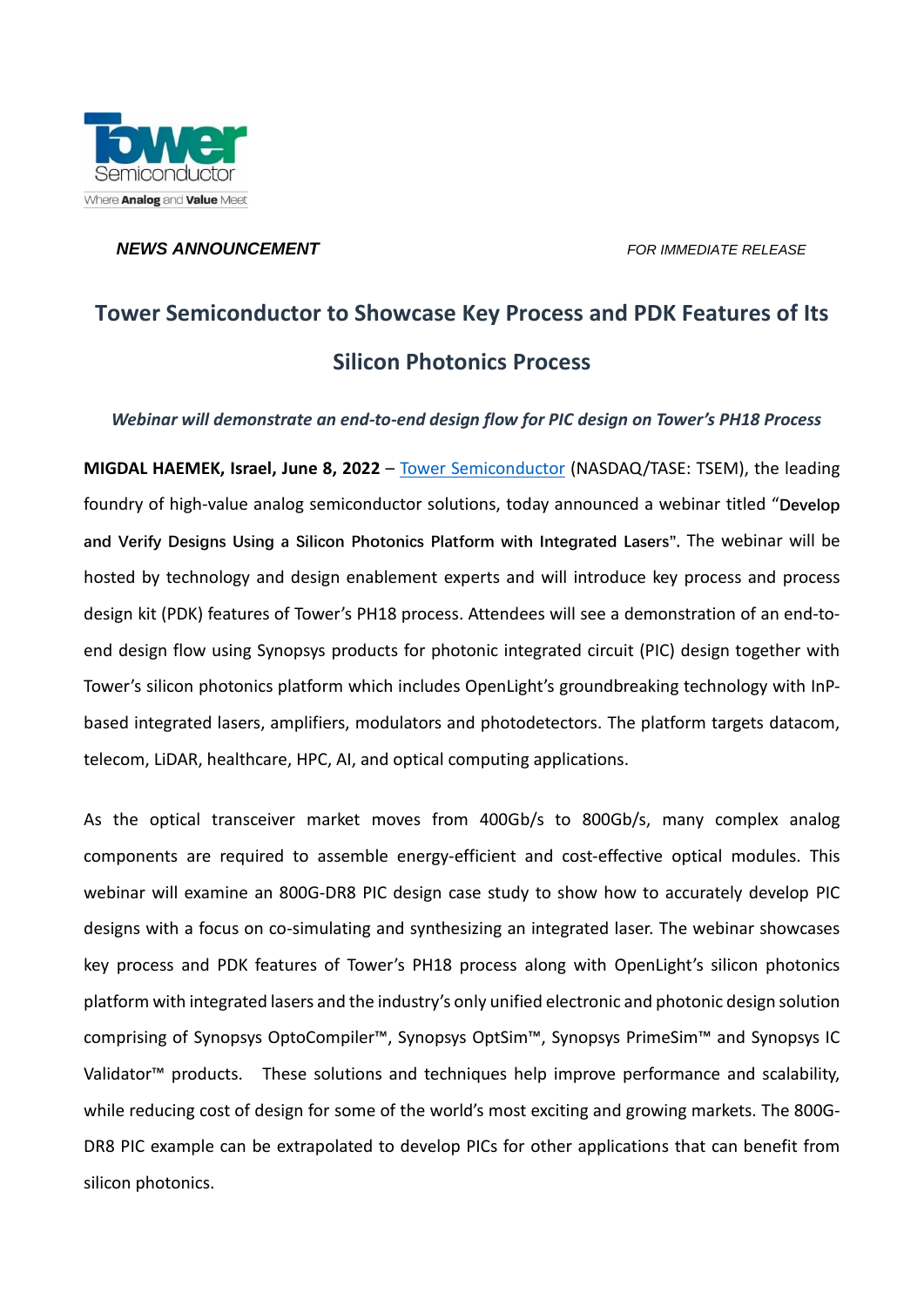

*NEWS ANNOUNCEMENT FOR IMMEDIATE RELEASE*

# **Tower Semiconductor to Showcase Key Process and PDK Features of Its Silicon Photonics Process**

*Webinar will demonstrate an end-to-end design flow for PIC design on Tower's PH18 Process*

**MIGDAL HAEMEK, Israel, June 8, 2022** – [Tower Semiconductor](http://www.towersemi.com/) (NASDAQ/TASE: TSEM), the leading foundry of high-value analog semiconductor solutions, today announced a webinar titled "**Develop and Verify Designs Using a Silicon Photonics Platform with Integrated Lasers".** The webinar will be hosted by technology and design enablement experts and will introduce key process and process design kit (PDK) features of Tower's PH18 process. Attendees will see a demonstration of an end-toend design flow using Synopsys products for photonic integrated circuit (PIC) design together with Tower's silicon photonics platform which includes OpenLight's groundbreaking technology with InPbased integrated lasers, amplifiers, modulators and photodetectors. The platform targets datacom, telecom, LiDAR, healthcare, HPC, AI, and optical computing applications.

As the optical transceiver market moves from 400Gb/s to 800Gb/s, many complex analog components are required to assemble energy-efficient and cost-effective optical modules. This webinar will examine an 800G-DR8 PIC design case study to show how to accurately develop PIC designs with a focus on co-simulating and synthesizing an integrated laser. The webinar showcases key process and PDK features of Tower's PH18 process along with OpenLight's silicon photonics platform with integrated lasers and the industry's only unified electronic and photonic design solution comprising of Synopsys OptoCompiler™, Synopsys OptSim™, Synopsys PrimeSim™ and Synopsys IC Validator<sup>™</sup> products. These solutions and techniques help improve performance and scalability, while reducing cost of design for some of the world's most exciting and growing markets. The 800G-DR8 PIC example can be extrapolated to develop PICs for other applications that can benefit from silicon photonics.